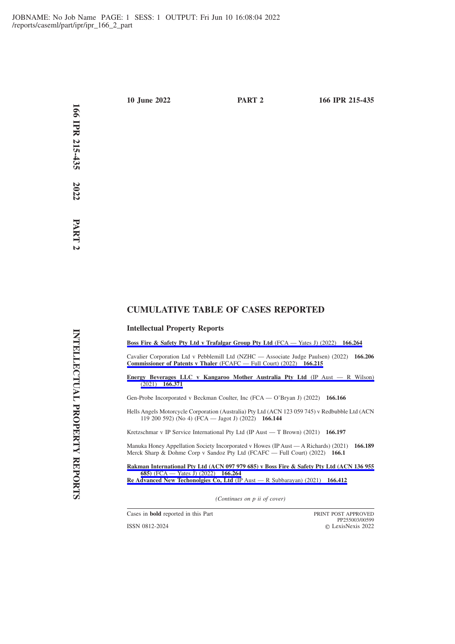# **CUMULATIVE TABLE OF CASES REPORTED**

### **Intellectual Property Reports**

**[Boss Fire & Safety Pty Ltd v Trafalgar Group Pty Ltd](https://advance.lexis.com/api/permalink/bff2a076-1dbb-4de4-89da-27b7b105b090/?context=1201008)** (FCA — Yates J) (2022) **166.264**

Cavalier Corporation Ltd v Pebblemill Ltd (NZHC — Associate Judge Paulsen) (2022) **166.206 [Commissioner of Patents v Thaler](https://advance.lexis.com/api/permalink/b68f0cb2-0408-4b2d-9187-9976fda5dc11/?context=1201008)** (FCAFC — Full Court) (2022) **166.215**

**[Energy Beverages LLC v Kangaroo Mother Australia Pty Ltd](https://advance.lexis.com/api/permalink/f4e2fd38-625b-4c1b-8326-42a7853898df/?context=1201008)** (IP Aust — R Wilson) (2021) **[166.371](https://advance.lexis.com/api/permalink/f4e2fd38-625b-4c1b-8326-42a7853898df/?context=1201008)**

Gen-Probe Incorporated v Beckman Coulter, Inc (FCA — O'Bryan J) (2022) **166.166**

Hells Angels Motorcycle Corporation (Australia) Pty Ltd (ACN 123 059 745) v Redbubble Ltd (ACN 119 200 592) (No 4) (FCA — Jagot J) (2022) **166.144**

Kretzschmar v IP Service International Pty Ltd (IP Aust — T Brown) (2021) **166.197**

Manuka Honey Appellation Society Incorporated v Howes (IP Aust — A Richards) (2021) **166.189** Merck Sharp & Dohme Corp v Sandoz Pty Ltd (FCAFC — Full Court) (2022) **166.1**

**[Rakman International Pty Ltd \(ACN 097 979 685\) v Boss Fire & Safety Pty Ltd \(ACN 136 955](https://advance.lexis.com/api/permalink/bff2a076-1dbb-4de4-89da-27b7b105b090/?context=1201008) 685)** [\(FCA — Yates J\) \(2022\)](https://advance.lexis.com/api/permalink/bff2a076-1dbb-4de4-89da-27b7b105b090/?context=1201008) **166.264 [Re Advanced New Techonolgies Co, Ltd](https://advance.lexis.com/api/permalink/1a364d8c-1b82-4f40-bf0b-654677336f4a/?context=1201008)** (IP Aust — R Subbarayan) (2021) **166.412**

*(Continues on p ii of cover)*

Cases in **bold** reported in this Part PRINT POST APPROVED

ISSN 0812-2024

PP255003/00599 LexisNexis 2022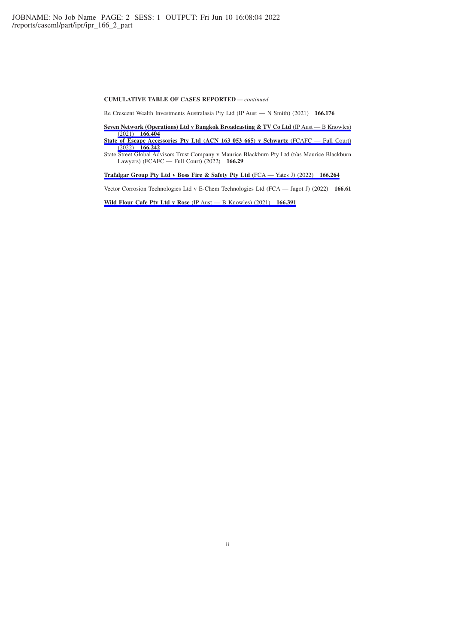#### **CUMULATIVE TABLE OF CASES REPORTED** *— continued*

Re Crescent Wealth Investments Australasia Pty Ltd (IP Aust — N Smith) (2021) **166.176**

**[Seven Network \(Operations\) Ltd v Bangkok Broadcasting & TV Co Ltd](https://advance.lexis.com/api/permalink/c2426ec6-2e11-4b64-8c3c-5c0a8d4af2a3/?context=1201008)** (IP Aust — B Knowles) (2021) **[166.404](https://advance.lexis.com/api/permalink/c2426ec6-2e11-4b64-8c3c-5c0a8d4af2a3/?context=1201008)**

**[State of Escape Accessories Pty Ltd \(ACN 163 053 665\) v Schwartz](https://advance.lexis.com/api/permalink/44f09b93-906b-48ca-86f0-2da11e6a0fad/?context=1201008)** (FCAFC — Full Court) (2022) **[166.242](https://advance.lexis.com/api/permalink/44f09b93-906b-48ca-86f0-2da11e6a0fad/?context=1201008)**

State Street Global Advisors Trust Company v Maurice Blackburn Pty Ltd (t/as Maurice Blackburn Lawyers) (FCAFC — Full Court) (2022) **166.29**

**[Trafalgar Group Pty Ltd v Boss Fire & Safety Pty Ltd](https://advance.lexis.com/api/permalink/bff2a076-1dbb-4de4-89da-27b7b105b090/?context=1201008)** (FCA — Yates J) (2022) **166.264**

Vector Corrosion Technologies Ltd v E-Chem Technologies Ltd (FCA — Jagot J) (2022) **166.61**

**[Wild Flour Cafe Pty Ltd v Rose](https://advance.lexis.com/api/permalink/1a5ec418-0fe4-4bbd-b2e4-2f437af2d833/?context=1201008)** (IP Aust — B Knowles) (2021) **166.391**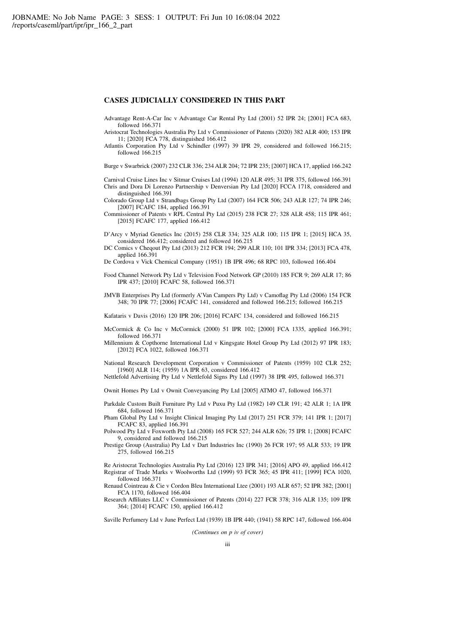### **CASES JUDICIALLY CONSIDERED IN THIS PART**

Advantage Rent-A-Car Inc v Advantage Car Rental Pty Ltd (2001) 52 IPR 24; [2001] FCA 683, followed 166.371

Aristocrat Technologies Australia Pty Ltd v Commissioner of Patents (2020) 382 ALR 400; 153 IPR 11; [2020] FCA 778, distinguished 166.412

Atlantis Corporation Pty Ltd v Schindler (1997) 39 IPR 29, considered and followed 166.215; followed 166.215

Burge v Swarbrick (2007) 232 CLR 336; 234 ALR 204; 72 IPR 235; [2007] HCA 17, applied 166.242

Carnival Cruise Lines Inc v Sitmar Cruises Ltd (1994) 120 ALR 495; 31 IPR 375, followed 166.391 Chris and Dora Di Lorenzo Partnership v Denversian Pty Ltd [2020] FCCA 1718, considered and distinguished 166.391

Colorado Group Ltd v Strandbags Group Pty Ltd (2007) 164 FCR 506; 243 ALR 127; 74 IPR 246; [2007] FCAFC 184, applied 166.391

Commissioner of Patents v RPL Central Pty Ltd (2015) 238 FCR 27; 328 ALR 458; 115 IPR 461; [2015] FCAFC 177, applied 166.412

D'Arcy v Myriad Genetics Inc (2015) 258 CLR 334; 325 ALR 100; 115 IPR 1; [2015] HCA 35, considered 166.412; considered and followed 166.215

DC Comics v Cheqout Pty Ltd (2013) 212 FCR 194; 299 ALR 110; 101 IPR 334; [2013] FCA 478, applied 166.391

De Cordova v Vick Chemical Company (1951) 1B IPR 496; 68 RPC 103, followed 166.404

Food Channel Network Pty Ltd v Television Food Network GP (2010) 185 FCR 9; 269 ALR 17; 86 IPR 437; [2010] FCAFC 58, followed 166.371

JMVB Enterprises Pty Ltd (formerly A'Van Campers Pty Ltd) v Camoflag Pty Ltd (2006) 154 FCR 348; 70 IPR 77; [2006] FCAFC 141, considered and followed 166.215; followed 166.215

Kafataris v Davis (2016) 120 IPR 206; [2016] FCAFC 134, considered and followed 166.215

McCormick & Co Inc v McCormick (2000) 51 IPR 102; [2000] FCA 1335, applied 166.391; followed 166.371

Millennium & Copthorne International Ltd v Kingsgate Hotel Group Pty Ltd (2012) 97 IPR 183; [2012] FCA 1022, followed 166.371

National Research Development Corporation v Commissioner of Patents (1959) 102 CLR 252; [1960] ALR 114; (1959) 1A IPR 63, considered 166.412

Nettlefold Advertising Pty Ltd v Nettlefold Signs Pty Ltd (1997) 38 IPR 495, followed 166.371

Ownit Homes Pty Ltd v Ownit Conveyancing Pty Ltd [2005] ATMO 47, followed 166.371

Parkdale Custom Built Furniture Pty Ltd v Puxu Pty Ltd (1982) 149 CLR 191; 42 ALR 1; 1A IPR 684, followed 166.371

Pham Global Pty Ltd v Insight Clinical Imaging Pty Ltd (2017) 251 FCR 379; 141 IPR 1; [2017] FCAFC 83, applied 166.391

Polwood Pty Ltd v Foxworth Pty Ltd (2008) 165 FCR 527; 244 ALR 626; 75 IPR 1; [2008] FCAFC 9, considered and followed 166.215

Prestige Group (Australia) Pty Ltd v Dart Industries Inc (1990) 26 FCR 197; 95 ALR 533; 19 IPR 275, followed 166.215

Re Aristocrat Technologies Australia Pty Ltd (2016) 123 IPR 341; [2016] APO 49, applied 166.412 Registrar of Trade Marks v Woolworths Ltd (1999) 93 FCR 365; 45 IPR 411; [1999] FCA 1020, followed 166.371

Renaud Cointreau & Cie v Cordon Bleu International Ltee (2001) 193 ALR 657; 52 IPR 382; [2001] FCA 1170, followed 166.404

Research Affiliates LLC v Commissioner of Patents (2014) 227 FCR 378; 316 ALR 135; 109 IPR 364; [2014] FCAFC 150, applied 166.412

Saville Perfumery Ltd v June Perfect Ltd (1939) 1B IPR 440; (1941) 58 RPC 147, followed 166.404

*(Continues on p iv of cover)*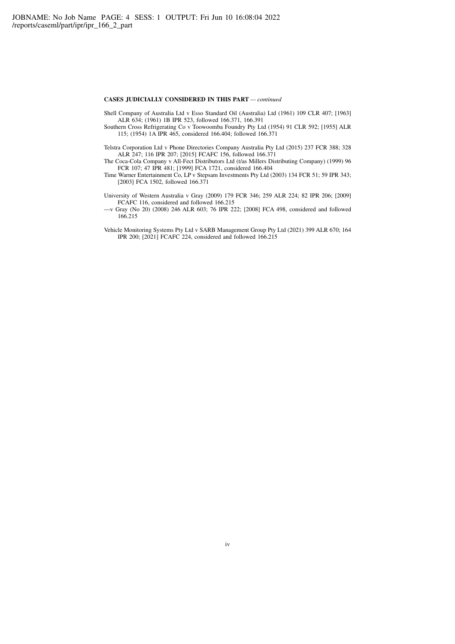### **CASES JUDICIALLY CONSIDERED IN THIS PART** *— continued*

Shell Company of Australia Ltd v Esso Standard Oil (Australia) Ltd (1961) 109 CLR 407; [1963] ALR 634; (1961) 1B IPR 523, followed 166.371, 166.391

Southern Cross Refrigerating Co v Toowoomba Foundry Pty Ltd (1954) 91 CLR 592; [1955] ALR 115; (1954) 1A IPR 465, considered 166.404; followed 166.371

- Telstra Corporation Ltd v Phone Directories Company Australia Pty Ltd (2015) 237 FCR 388; 328 ALR 247; 116 IPR 207; [2015] FCAFC 156, followed 166.371
- The Coca-Cola Company v All-Fect Distributors Ltd (t/as Millers Distributing Company) (1999) 96 FCR 107; 47 IPR 481; [1999] FCA 1721, considered 166.404
- Time Warner Entertainment Co, LP v Stepsam Investments Pty Ltd (2003) 134 FCR 51; 59 IPR 343; [2003] FCA 1502, followed 166.371
- University of Western Australia v Gray (2009) 179 FCR 346; 259 ALR 224; 82 IPR 206; [2009] FCAFC 116, considered and followed 166.215
- —v Gray (No 20) (2008) 246 ALR 603; 76 IPR 222; [2008] FCA 498, considered and followed 166.215
- Vehicle Monitoring Systems Pty Ltd v SARB Management Group Pty Ltd (2021) 399 ALR 670; 164 IPR 200; [2021] FCAFC 224, considered and followed 166.215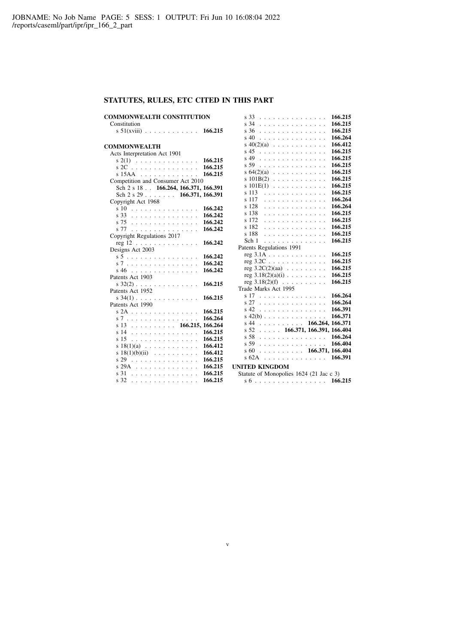## **STATUTES, RULES, ETC CITED IN THIS PART**

| <b>COMMONWEALTH CONSTITUTION</b>                                        | 166.215<br>s 33                                                        |
|-------------------------------------------------------------------------|------------------------------------------------------------------------|
| Constitution                                                            | 166.215<br>s 34                                                        |
| s $51(xviii)$ 166.215                                                   | 166.215<br>s 36                                                        |
|                                                                         | 166.264<br>s 40                                                        |
| <b>COMMONWEALTH</b>                                                     | 166.412<br>$s \ 40(2)(a) \ \ldots \ \ldots \ \ldots \ \ldots$          |
| Acts Interpretation Act 1901                                            | 166.215<br>s 45                                                        |
| $s(2(1) \ldots \ldots \ldots \ldots \ldots$<br>166.215                  | 166.215<br>s 49                                                        |
| 166.215<br>$s$ 2C $\ldots$ $\ldots$ $\ldots$ $\ldots$ $\ldots$ $\ldots$ | 166.215<br>s 59                                                        |
| 166.215<br>$s$ 15AA $\ldots \ldots \ldots \ldots$                       | 166.215<br>$s$ 64(2)(a)                                                |
| Competition and Consumer Act 2010                                       | 166.215<br>$s101B(2)$                                                  |
| Sch 2 s 18 . 166.264, 166.371, 166.391                                  | 166.215<br>$s101E(1)$                                                  |
| Sch $2$ s $29$ 166.371, 166.391                                         | 166.215<br>s 113<br><u>.</u>                                           |
| Copyright Act 1968                                                      | 166.264<br>s 117<br>.                                                  |
| s 10<br>166.242                                                         | 166.264<br>s 128<br>.                                                  |
| 166.242<br>s 33                                                         | 166.215<br>s 138<br>.                                                  |
| 166.242<br>s 75                                                         | s 172<br>166.215<br>.                                                  |
| 166.242<br>s 77                                                         | 166.215<br>s 182<br>.                                                  |
| Copyright Regulations 2017                                              | 166.215<br>s 188<br>.                                                  |
| 166.242<br>$reg 12 \ldots \ldots \ldots \ldots$                         | 166.215<br>Sch 1<br>.                                                  |
| Designs Act 2003                                                        | Patents Regulations 1991                                               |
| 166.242<br>s 5                                                          | 166.215<br>$reg 3.1A \ldots \ldots \ldots \ldots$                      |
| 166.242<br>s 7                                                          | 166.215<br>$reg 3.2C \ldots \ldots \ldots \ldots$                      |
| 166.242<br>s 46                                                         | 166.215<br>reg $3.2C(2)(aa) \cdot \cdot \cdot \cdot \cdot \cdot \cdot$ |
| Patents Act 1903                                                        | 166.215<br>reg $3.18(2)(a)(i)$                                         |
| $s$ 32(2)<br>166.215                                                    | 166.215<br>reg $3.18(2)(f)$                                            |
| Patents Act 1952                                                        | Trade Marks Act 1995                                                   |
| 166.215<br>$s$ 34(1)                                                    | 166.264<br>s 17                                                        |
| Patents Act 1990                                                        | 166.264<br>s 27                                                        |
| 166.215<br>s 2A                                                         | 166.391<br>s 42                                                        |
| 166.264<br>s 7                                                          | 166.371<br>s 42(b) $\ldots$ $\ldots$ $\ldots$ $\ldots$ $\ldots$        |
| s 13 166.215, 166.264                                                   | $s$ 44 166.264, 166.371                                                |
| 166.215<br>s 14                                                         | $s$ 52 166.371, 166.391, 166.404                                       |
| s <sub>15</sub><br>.<br>166.215                                         | 166.264<br>s 58                                                        |
| 166.412<br>s $18(1)(a)$                                                 | 166.404<br>s 59                                                        |
| 166.412<br>s $18(1)(b)(ii)$                                             | $s\,60$ 166.371, 166.404                                               |
| 166.215<br>s 29                                                         | $s$ 62A 166.391                                                        |
| 166.215<br>s 29A                                                        | <b>UNITED KINGDOM</b>                                                  |
| 166.215<br>s 31                                                         | Statute of Monopolies 1624 (21 Jac c 3)                                |
| s 32<br>166.215                                                         |                                                                        |
|                                                                         | s 6 166.215                                                            |

v